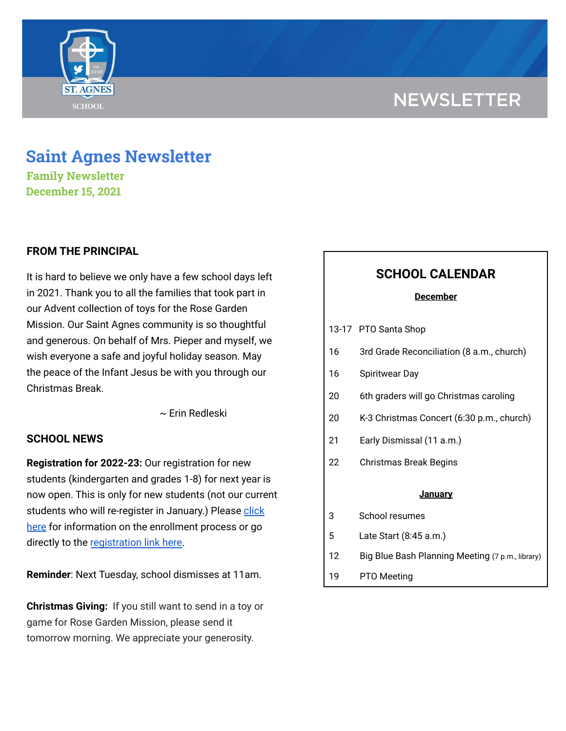# **NEWSLETTER**



## **Saint Agnes Newsletter**

**Family Newsletter December 15, 2021**

## **FROM THE PRINCIPAL**

It is hard to believe we only have a few school days left in 2021. Thank you to all the families that took part in our Advent collection of toys for the Rose Garden Mission. Our Saint Agnes community is so thoughtful and generous. On behalf of Mrs. Pieper and myself, we wish everyone a safe and joyful holiday season. May the peace of the Infant Jesus be with you through our Christmas Break.

~ Erin Redleski

### **SCHOOL NEWS**

**Registration for 2022-23:** Our registration for new students (kindergarten and grades 1-8) for next year is now open. This is only for new students (not our current students who will re-register in January.) Please [click](https://school.saintagnes.com/admission/) [here](https://school.saintagnes.com/admission/) for information on the enrollment process or go directly to the [registration](https://sycamore.school/login?schoolId=3292) link here.

**Reminder**: Next Tuesday, school dismisses at 11am.

**Christmas Giving:** If you still want to send in a toy or game for Rose Garden Mission, please send it tomorrow morning. We appreciate your generosity.

## **SCHOOL CALENDAR**

#### **December**

- 16 3rd Grade Reconciliation (8 a.m., church)
- 16 Spiritwear Day
- 20 6th graders will go Christmas caroling
- 20 K-3 Christmas Concert (6:30 p.m., church)
- 21 Early Dismissal (11 a.m.)
- 22 Christmas Break Begins

#### **January**

- 3 School resumes
- 5 Late Start (8:45 a.m.)
- 12 Big Blue Bash Planning Meeting (7 p.m., library)
- 19 PTO Meeting